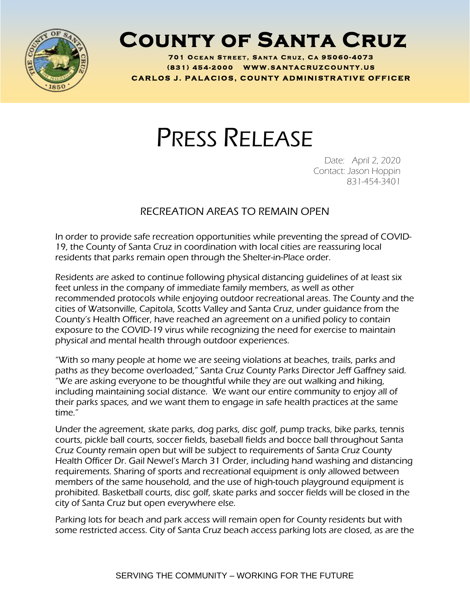

## **County of Santa Cruz**

**701 O C E A N S T R E E T , S A N T A C R U Z , C A 95060 - 4073 ( 8 3 1 ) <sup>454</sup> - <sup>2000</sup> W W W . S A N T A C R U Z C O U N T Y . U S C A R L O S J . P A L A C I O S , C O U N T Y A D M I N I S T R A T I V E O F F I C E R**

## PRESS RELEASE

Date: April 2, 2020 Contact: Jason Hoppin 831-454-3401

## RECREATION AREAS TO REMAIN OPEN

In order to provide safe recreation opportunities while preventing the spread of COVID-19, the County of Santa Cruz in coordination with local cities are reassuring local residents that parks remain open through the Shelter-in-Place order.

Residents are asked to continue following physical distancing guidelines of at least six feet unless in the company of immediate family members, as well as other recommended protocols while enjoying outdoor recreational areas. The County and the cities of Watsonville, Capitola, Scotts Valley and Santa Cruz, under guidance from the County's Health Officer, have reached an agreement on a unified policy to contain exposure to the COVID-19 virus while recognizing the need for exercise to maintain physical and mental health through outdoor experiences.

"With so many people at home we are seeing violations at beaches, trails, parks and paths as they become overloaded," Santa Cruz County Parks Director Jeff Gaffney said. "We are asking everyone to be thoughtful while they are out walking and hiking, including maintaining social distance. We want our entire community to enjoy all of their parks spaces, and we want them to engage in safe health practices at the same time."

Under the agreement, skate parks, dog parks, disc golf, pump tracks, bike parks, tennis courts, pickle ball courts, soccer fields, baseball fields and bocce ball throughout Santa Cruz County remain open but will be subject to requirements of Santa Cruz County Health Officer Dr. Gail Newel's March 31 Order, including hand washing and distancing requirements. Sharing of sports and recreational equipment is only allowed between members of the same household, and the use of high-touch playground equipment is prohibited. Basketball courts, disc golf, skate parks and soccer fields will be closed in the city of Santa Cruz but open everywhere else.

Parking lots for beach and park access will remain open for County residents but with some restricted access. City of Santa Cruz beach access parking lots are closed, as are the